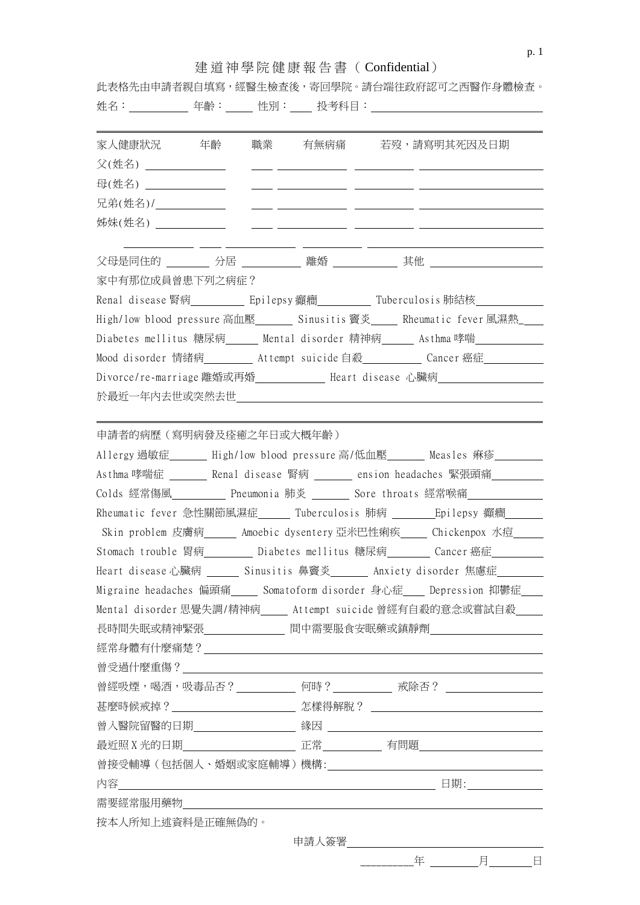## 建道神學院健康報告書( Confidential)

|                         |  |                                                                                                                                                                                                                                                                                               |                                                |  | 此表格先由申請者親自填寫,經醫生檢查後,寄回學院。請台端往政府認可之西醫作身體檢查。                                      |
|-------------------------|--|-----------------------------------------------------------------------------------------------------------------------------------------------------------------------------------------------------------------------------------------------------------------------------------------------|------------------------------------------------|--|---------------------------------------------------------------------------------|
| 家人健康狀況    年齡            |  |                                                                                                                                                                                                                                                                                               |                                                |  | 職業 有無病痛 若歿,請寫明其死因及日期                                                            |
| 父(姓名) ______________    |  |                                                                                                                                                                                                                                                                                               |                                                |  |                                                                                 |
| 母(姓名) _____________     |  | $\frac{1}{2}$ and $\frac{1}{2}$ and $\frac{1}{2}$ and $\frac{1}{2}$ and $\frac{1}{2}$ and $\frac{1}{2}$ and $\frac{1}{2}$ and $\frac{1}{2}$ and $\frac{1}{2}$ and $\frac{1}{2}$ and $\frac{1}{2}$ and $\frac{1}{2}$ and $\frac{1}{2}$ and $\frac{1}{2}$ and $\frac{1}{2}$ and $\frac{1}{2}$ a |                                                |  |                                                                                 |
| 兄弟(姓名)/____________     |  |                                                                                                                                                                                                                                                                                               | <u> The Communication of the Communication</u> |  |                                                                                 |
| 姊妹(姓名)                  |  |                                                                                                                                                                                                                                                                                               |                                                |  |                                                                                 |
|                         |  |                                                                                                                                                                                                                                                                                               |                                                |  |                                                                                 |
| 家中有那位成員曾患下列之病症?         |  |                                                                                                                                                                                                                                                                                               |                                                |  |                                                                                 |
|                         |  |                                                                                                                                                                                                                                                                                               |                                                |  | Renal disease 腎病___________ Epilepsy 癲癇_________ Tuberculosis 肺結核______________ |
|                         |  |                                                                                                                                                                                                                                                                                               |                                                |  | High/low blood pressure 高血壓_______ Sinusitis 竇炎_____ Rheumatic fever 風濕熱___     |
|                         |  |                                                                                                                                                                                                                                                                                               |                                                |  | Diabetes mellitus 糖尿病___ Mental disorder 精神病___ Asthma哮喘_______                 |
|                         |  |                                                                                                                                                                                                                                                                                               |                                                |  | Mood disorder 情緒病____ Attempt suicide自殺_____ Cancer 癌症______                    |
|                         |  |                                                                                                                                                                                                                                                                                               |                                                |  | Divorce/re-marriage 離婚或再婚_______ Heart disease 心臟病________                      |
|                         |  |                                                                                                                                                                                                                                                                                               |                                                |  |                                                                                 |
| 申請者的病歷(寫明病發及痊癒之年日或大概年齡) |  |                                                                                                                                                                                                                                                                                               |                                                |  |                                                                                 |
|                         |  |                                                                                                                                                                                                                                                                                               |                                                |  | Allergy 過敏症____ High/low blood pressure 高/低血壓____ Measles 痳疹_____               |
|                         |  |                                                                                                                                                                                                                                                                                               |                                                |  | Asthma哮喘症 _______ Renal disease 腎病 ______ ension headaches 緊張頭痛 _______         |
|                         |  |                                                                                                                                                                                                                                                                                               |                                                |  | Colds 經常傷風__________ Pneumonia 肺炎 _______ Sore throats 經常喉痛______________       |
|                         |  |                                                                                                                                                                                                                                                                                               |                                                |  | Rheumatic fever 急性關節風濕症_____ Tuberculosis 肺病 ______ Epilepsy 癲癇______           |
|                         |  |                                                                                                                                                                                                                                                                                               |                                                |  | Skin problem 皮膚病___ Amoebic dysentery 亞米巴性痢疾___ Chickenpox 水痘___                |
|                         |  |                                                                                                                                                                                                                                                                                               |                                                |  | Stomach trouble 胃病_________ Diabetes mellitus 糖尿病________ Cancer 癌症________     |
|                         |  |                                                                                                                                                                                                                                                                                               |                                                |  | Heart disease心臟病 ______ Sinusitis 鼻竇炎_______ Anxiety disorder 焦慮症 ________      |
|                         |  |                                                                                                                                                                                                                                                                                               |                                                |  | Migraine headaches 偏頭痛__ Somatoform disorder 身心症__ Depression 抑鬱症__             |
|                         |  |                                                                                                                                                                                                                                                                                               |                                                |  | Mental disorder 思覺失調/精神病__ Attempt suicide 曾經有自殺的意念或嘗試自殺__                      |
|                         |  |                                                                                                                                                                                                                                                                                               |                                                |  | 長時間失眠或精神緊張   —————————————— 間中需要服食安眠藥或鎮靜劑 ——————————————                        |
|                         |  |                                                                                                                                                                                                                                                                                               |                                                |  |                                                                                 |
|                         |  |                                                                                                                                                                                                                                                                                               |                                                |  |                                                                                 |
|                         |  |                                                                                                                                                                                                                                                                                               |                                                |  | 曾經吸煙,喝酒,吸毒品否?___________ 何時?__________ 戒除否? ____________________                |
|                         |  |                                                                                                                                                                                                                                                                                               |                                                |  |                                                                                 |
|                         |  |                                                                                                                                                                                                                                                                                               |                                                |  |                                                                                 |
|                         |  |                                                                                                                                                                                                                                                                                               |                                                |  |                                                                                 |
|                         |  |                                                                                                                                                                                                                                                                                               |                                                |  |                                                                                 |
|                         |  |                                                                                                                                                                                                                                                                                               |                                                |  |                                                                                 |
|                         |  |                                                                                                                                                                                                                                                                                               |                                                |  |                                                                                 |
| 按本人所知上述資料是正確無偽的。        |  |                                                                                                                                                                                                                                                                                               |                                                |  |                                                                                 |
|                         |  |                                                                                                                                                                                                                                                                                               |                                                |  |                                                                                 |

p. 1

\_\_\_\_\_\_\_\_\_\_年 月 日